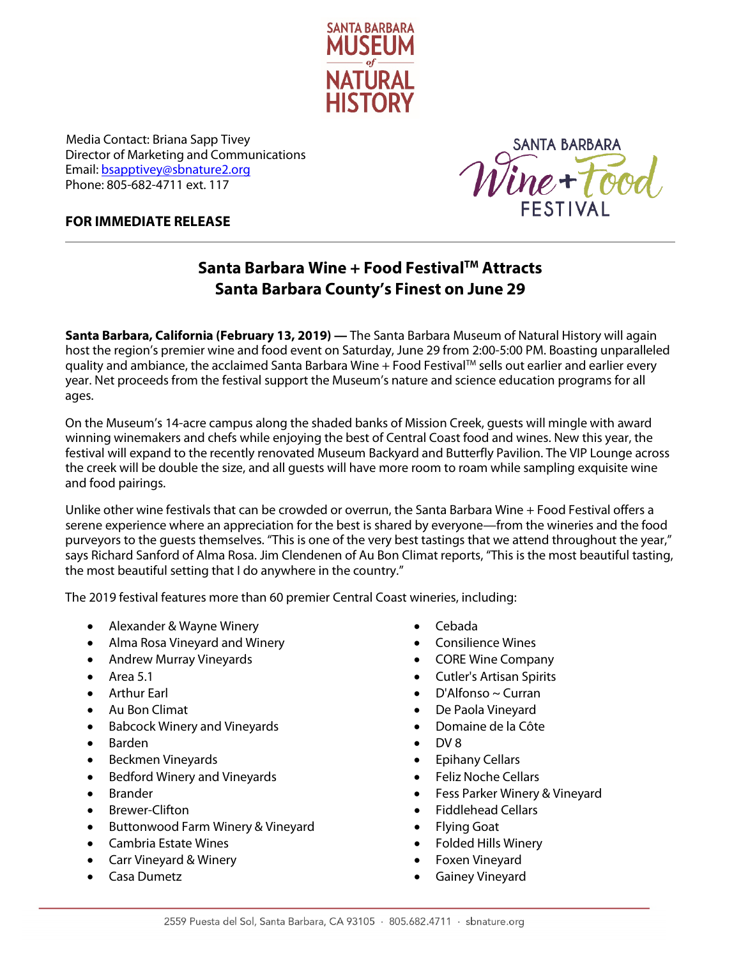

*<sup>R</sup>*Media Contact: Briana Sapp Tivey Director of Marketing and Communications Email[: bsapptivey@sbnature2.org](mailto:bsapptivey@sbnature2.org) Phone: 805-682-4711 ext. 117



## **FOR IMMEDIATE RELEASE**

## **Santa Barbara Wine + Food FestivalTM Attracts Santa Barbara County's Finest on June 29**

**Santa Barbara, California (February 13, 2019) —** The Santa Barbara Museum of Natural History will again host the region's premier wine and food event on Saturday, June 29 from 2:00-5:00 PM. Boasting unparalleled quality and ambiance, the acclaimed Santa Barbara Wine  $+$  Food Festival<sup>TM</sup> sells out earlier and earlier every year. Net proceeds from the festival support the Museum's nature and science education programs for all ages.

On the Museum's 14-acre campus along the shaded banks of Mission Creek, guests will mingle with award winning winemakers and chefs while enjoying the best of Central Coast food and wines. New this year, the festival will expand to the recently renovated Museum Backyard and Butterfly Pavilion. The VIP Lounge across the creek will be double the size, and all guests will have more room to roam while sampling exquisite wine and food pairings.

Unlike other wine festivals that can be crowded or overrun, the Santa Barbara Wine + Food Festival offers a serene experience where an appreciation for the best is shared by everyone—from the wineries and the food purveyors to the guests themselves. "This is one of the very best tastings that we attend throughout the year," says Richard Sanford of Alma Rosa. Jim Clendenen of Au Bon Climat reports, "This is the most beautiful tasting, the most beautiful setting that I do anywhere in the country."

The 2019 festival features more than 60 premier Central Coast wineries, including:

- Alexander & Wayne Winery
- Alma Rosa Vineyard and Winery
- Andrew Murray Vineyards
- Area 5.1
- Arthur Earl
- Au Bon Climat
- Babcock Winery and Vineyards
- Barden
- Beckmen Vineyards
- Bedford Winery and Vineyards
- Brander
- Brewer-Clifton
- Buttonwood Farm Winery & Vineyard
- Cambria Estate Wines
- Carr Vineyard & Winery
- Casa Dumetz
- Cebada
- Consilience Wines
- CORE Wine Company
- Cutler's Artisan Spirits
- D'Alfonso ~ Curran
- De Paola Vineyard
- Domaine de la Côte
- DV 8
- Epihany Cellars
- Feliz Noche Cellars
- Fess Parker Winery & Vineyard
- Fiddlehead Cellars
- Flying Goat
- Folded Hills Winery
- Foxen Vineyard
- Gainey Vineyard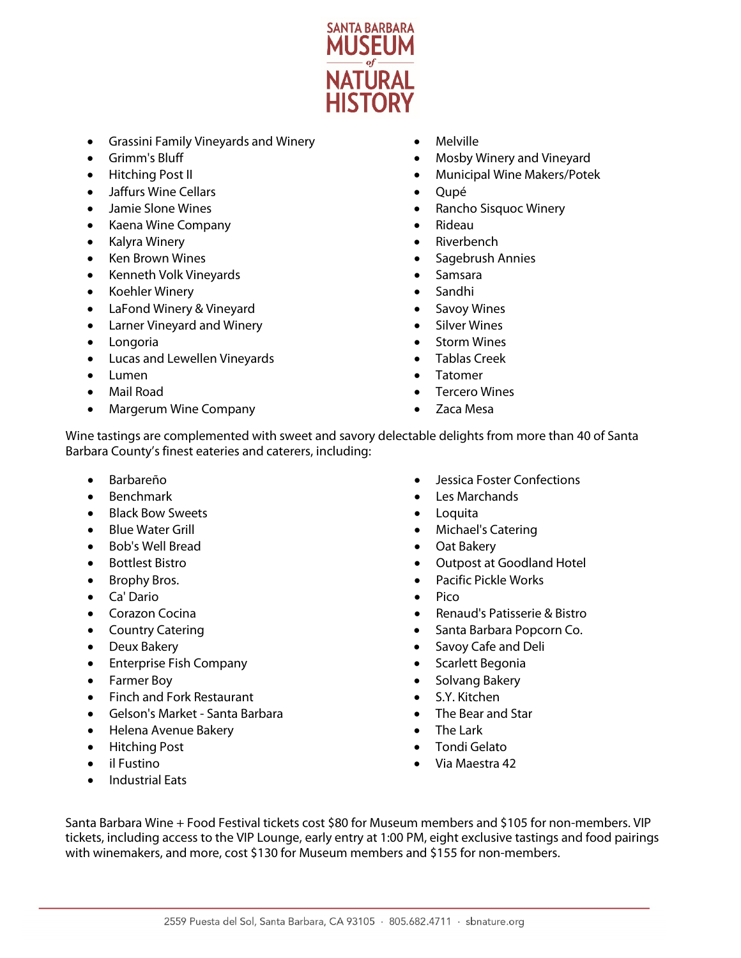

- Grassini Family Vineyards and Winery
- Grimm's Bluff
- Hitching Post II
- Jaffurs Wine Cellars
- Jamie Slone Wines
- Kaena Wine Company
- Kalyra Winery
- **Ken Brown Wines**
- Kenneth Volk Vineyards
- Koehler Winery
- LaFond Winery & Vineyard
- Larner Vineyard and Winery
- Longoria
- Lucas and Lewellen Vineyards
- Lumen
- Mail Road
- Margerum Wine Company
- Melville
- Mosby Winery and Vineyard
- Municipal Wine Makers/Potek
- Qupé
- Rancho Sisquoc Winery
- Rideau
- **Riverbench**
- Sagebrush Annies
- Samsara
- Sandhi
- Savoy Wines
- Silver Wines
- **Storm Wines**
- Tablas Creek
- Tatomer
- Tercero Wines
- Zaca Mesa

Wine tastings are complemented with sweet and savory delectable delights from more than 40 of Santa Barbara County's finest eateries and caterers, including:

- Barbareño
- Benchmark
- Black Bow Sweets
- Blue Water Grill
- Bob's Well Bread
- Bottlest Bistro
- Brophy Bros.
- Ca' Dario
- Corazon Cocina
- Country Catering
- Deux Bakery
- Enterprise Fish Company
- Farmer Boy
- Finch and Fork Restaurant
- Gelson's Market Santa Barbara
- Helena Avenue Bakery
- Hitching Post
- il Fustino
- Industrial Eats
- Jessica Foster Confections
- Les Marchands
- **Loquita**
- Michael's Catering
- Oat Bakery
- Outpost at Goodland Hotel
- Pacific Pickle Works
- Pico
- Renaud's Patisserie & Bistro
- Santa Barbara Popcorn Co.
- Savoy Cafe and Deli
- Scarlett Begonia
- Solvang Bakery
- S.Y. Kitchen
- The Bear and Star
- The Lark
- Tondi Gelato
- Via Maestra 42

Santa Barbara Wine + Food Festival tickets cost \$80 for Museum members and \$105 for non-members. VIP tickets, including access to the VIP Lounge, early entry at 1:00 PM, eight exclusive tastings and food pairings with winemakers, and more, cost \$130 for Museum members and \$155 for non-members.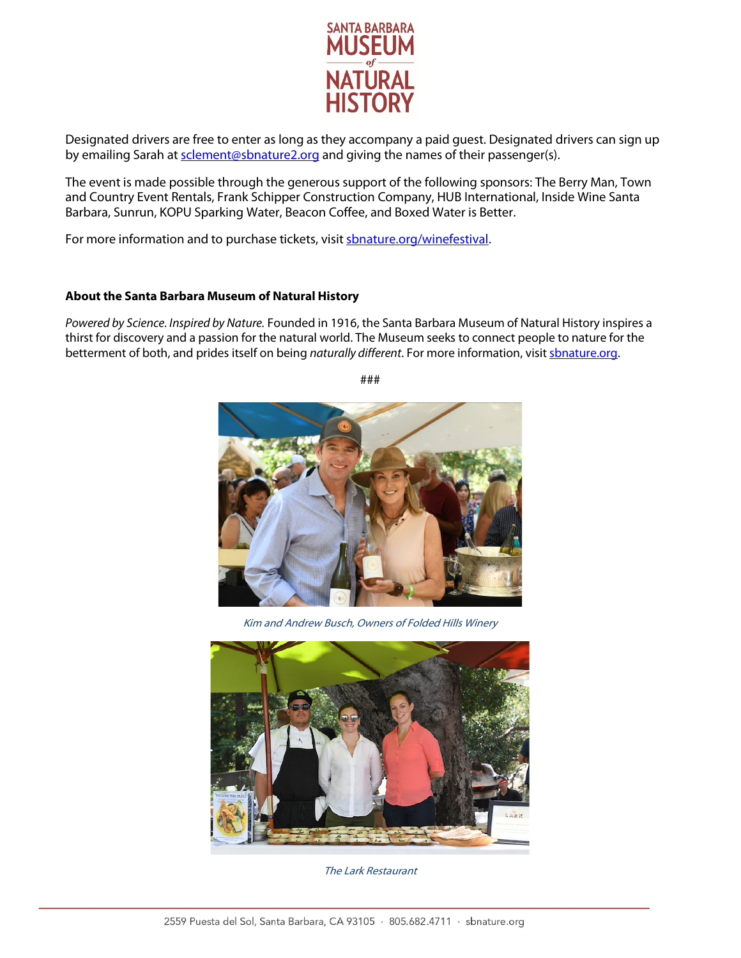

Designated drivers are free to enter as long as they accompany a paid guest. Designated drivers can sign up by emailing Sarah a[t sclement@sbnature2.org](mailto:sclement@sbnature2.org) and giving the names of their passenger(s).

The event is made possible through the generous support of the following sponsors: The Berry Man, Town and Country Event Rentals, Frank Schipper Construction Company, HUB International, Inside Wine Santa Barbara, Sunrun, KOPU Sparking Water, Beacon Coffee, and Boxed Water is Better.

For more information and to purchase tickets, visi[t sbnature.org/winefestival.](http://www.sbnature.org/winefestival)

## **About the Santa Barbara Museum of Natural History**

*Powered by Science. Inspired by Nature.* Founded in 1916, the Santa Barbara Museum of Natural History inspires a thirst for discovery and a passion for the natural world. The Museum seeks to connect people to nature for the betterment of both, and prides itself on being *naturally different*. For more information, visit **shnature.org**.







The Lark Restaurant

###